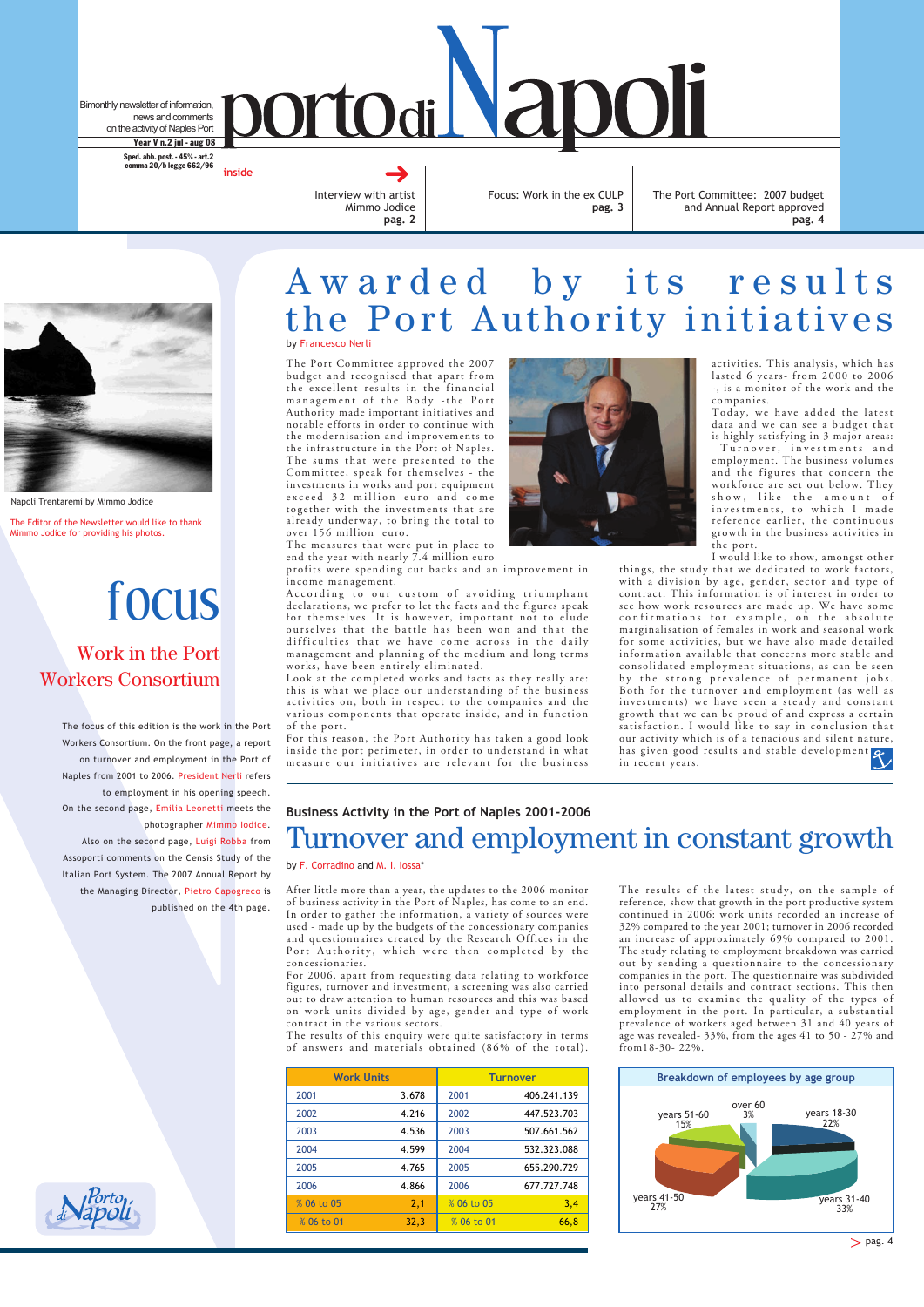After little more than a year, the updates to the 2006 monitor of business activity in the Port of Naples, has come to an end. In order to gather the information, a variety of sources were used - made up by the budgets of the concessionary companies and questionnaires created by the Research Offices in the Port Authority, which were then completed by the concessionaries.

For 2006, apart from requesting data relating to workforce figures, turnover and investment, a screening was also carried out to draw attention to human resources and this was based on work units divided by age, gender and type of work contract in the various sectors.

The results of this enquiry were quite satisfactory in terms of answers and materials obtained (86% of the total).

Bimonthly newsletter of information, news and comments on the activity of Naples Port Year V n.2 jul - aug 08

> Interview with artist Mimmo Jodice **pag. 2**

Focus: Work in the ex CULP **pag. 3**

**ortodi Vapoli** 

**inside** Sped. abb. post. - 45% - art.2 comma 20/b legge 662/96

> The Port Committee: 2007 budget and Annual Report approved **pag. 4**

# focus

The focus of this edition is the work in the Port Workers Consortium. On the front page, a report on turnover and employment in the Port of Naples from 2001 to 2006. President Nerli refers to employment in his opening speech. On the second page, Emilia Leonetti meets the photographer Mimmo Iodice. Also on the second page, Luigi Robba from

Assoporti comments on the Censis Study of the Italian Port System. The 2007 Annual Report by the Managing Director, Pietro Capogreco is published on the 4th page.

## Work in the Port Workers Consortium

# Awarded by its results the Port Authority initiatives by Francesco Nerli

#### **Business Activity in the Port of Naples 2001-2006**

# Turnover and employment in constant growth

by F. Corradino and M. I. Iossa\*



Napoli Trentaremi by Mimmo Jodice

The Port Committee approved the 2007 budget and recognised that apart from the excellent results in the financial management of the Body -the Port Authority made important initiatives and notable efforts in order to continue with the modernisation and improvements to the infrastructure in the Port of Naples. The sums that were presented to the Committee, speak for themselves - the investments in works and port equipment exceed 32 million euro and come together with the investments that are already underway, to bring the total to over 156 million euro.

The measures that were put in place to end the year with nearly 7.4 million euro

profits were spending cut backs and an improvement in income management.

According to our custom of avoiding triumphant declarations, we prefer to let the facts and the figures speak for themselves. It is however, important not to elude ourselves that the battle has been won and that the difficulties that we have come across in the daily management and planning of the medium and long terms works, have been entirely eliminated.

| <b>Work Units</b> |       | <b>Turnover</b> |             |  |
|-------------------|-------|-----------------|-------------|--|
| 2001              | 3.678 | 2001            | 406.241.139 |  |
| 2002              | 4.216 | 2002            | 447.523.703 |  |
| 2003              | 4.536 | 2003            | 507.661.562 |  |
| 2004              | 4.599 | 2004            | 532.323.088 |  |
| 2005              | 4.765 | 2005            | 655.290.729 |  |
| 2006              | 4.866 | 2006            | 677.727.748 |  |
| % 06 to 05        | 2,1   | % 06 to 05      | 3,4         |  |
| % 06 to 01        | 32,3  | % 06 to 01      | 66,8        |  |

Look at the completed works and facts as they really are: this is what we place our understanding of the business activities on, both in respect to the companies and the various components that operate inside, and in function of the port.

For this reason, the Port Authority has taken a good look inside the port perimeter, in order to understand in what measure our initiatives are relevant for the business



activities. This analysis, which has lasted 6 years- from 2000 to 2006 -, is a monitor of the work and the companies.

Today, we have added the latest data and we can see a budget that is highly satisfying in 3 major areas:

 Turnover, investments and employment. The business volumes and the figures that concern the workforce are set out below. They show, like the amount of investments, to which I made reference earlier, the continuous growth in the business activities in the port.





I would like to show, amongst other

things, the study that we dedicated to work factors, with a division by age, gender, sector and type of contract. This information is of interest in order to see how work resources are made up. We have some confirmations for example, on the absolute marginalisation of females in work and seasonal work for some activities, but we have also made detailed information available that concerns more stable and consolidated employment situations, as can be seen by the strong prevalence of permanent jobs. Both for the turnover and employment (as well as investments) we have seen a steady and constant growth that we can be proud of and express a certain satisfaction. I would like to say in conclusion that our activity which is of a tenacious and silent nature, has given good results and stable development in recent years.

The results of the latest study, on the sample of reference, show that growth in the port productive system continued in 2006: work units recorded an increase of 32% compared to the year 2001; turnover in 2006 recorded an increase of approximately 69% compared to 2001. The study relating to employment breakdown was carried out by sending a questionnaire to the concessionary companies in the port. The questionnaire was subdivided into personal details and contract sections. This then allowed us to examine the quality of the types of employment in the port. In particular, a substantial prevalence of workers aged between 31 and 40 years of age was revealed- 33%, from the ages 41 to 50 - 27% and from18-30- 22%.

The Editor of the Newsletter would like to thank Mimmo Jodice for providing his photos.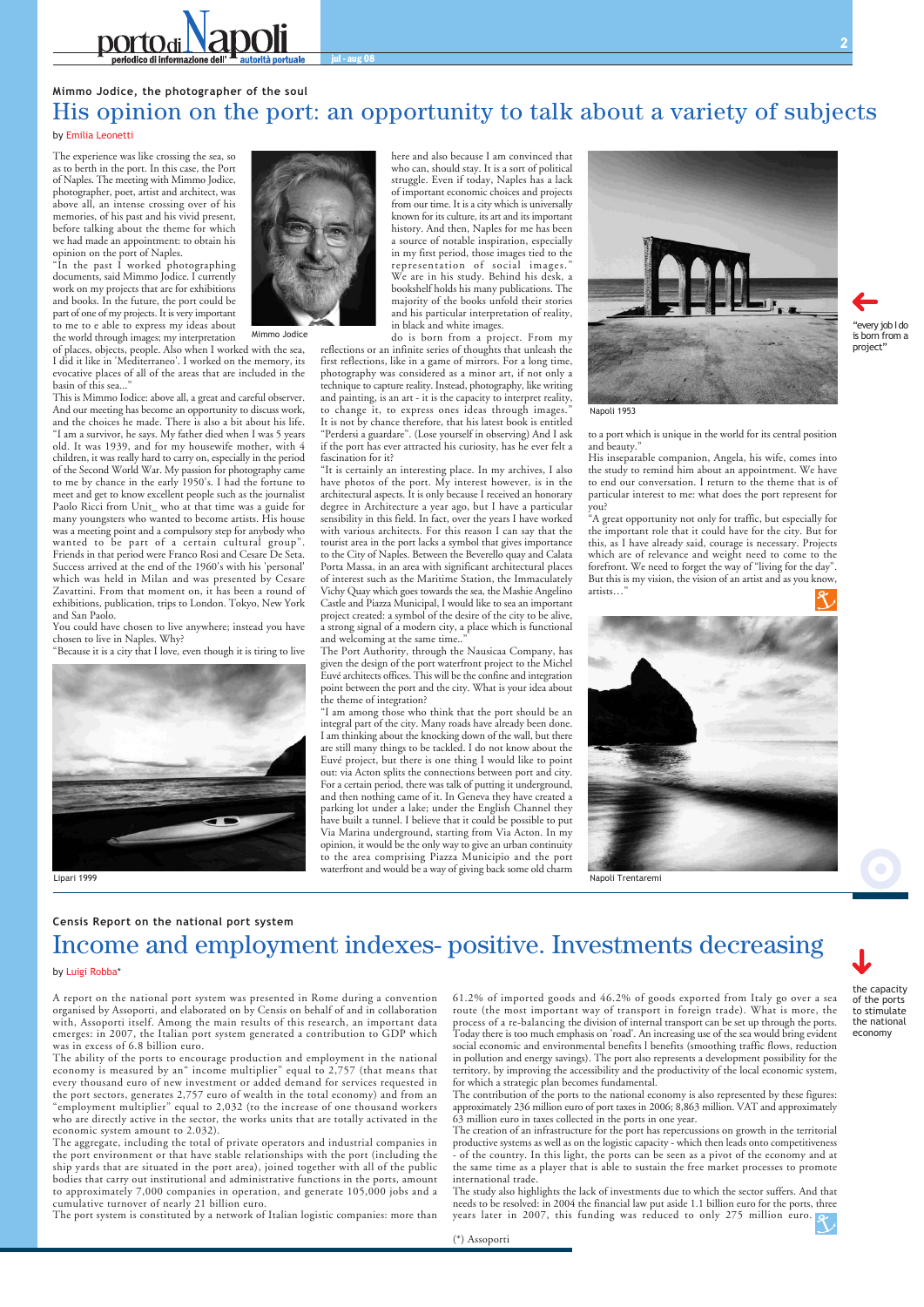the capacity of the ports to stimulate the national economy



The experience was like crossing the sea, so as to berth in the port. In this case, the Port of Naples. The meeting with Mimmo Jodice, photographer, poet, artist and architect, was above all, an intense crossing over of his memories, of his past and his vivid present, before talking about the theme for which we had made an appointment: to obtain his opinion on the port of Naples.

"In the past I worked photographing documents, said Mimmo Jodice. I currently work on my projects that are for exhibitions and books. In the future, the port could be part of one of my projects. It is very important to me to e able to express my ideas about the world through images; my interpretation

of places, objects, people. Also when I worked with the sea, I did it like in 'Mediterraneo'. I worked on the memory, its evocative places of all of the areas that are included in the basin of this sea..."

This is Mimmo Iodice: above all, a great and careful observer. And our meeting has become an opportunity to discuss work, and the choices he made. There is also a bit about his life. "I am a survivor, he says. My father died when I was 5 years old. It was 1939, and for my housewife mother, with 4 children, it was really hard to carry on, especially in the period of the Second World War. My passion for photography came to me by chance in the early 1950's. I had the fortune to meet and get to know excellent people such as the journalist Paolo Ricci from Unit\_ who at that time was a guide for many youngsters who wanted to become artists. His house was a meeting point and a compulsory step for anybody who wanted to be part of a certain cultural group". Friends in that period were Franco Rosi and Cesare De Seta. Success arrived at the end of the 1960's with his 'personal' which was held in Milan and was presented by Cesare Zavattini. From that moment on, it has been a round of exhibitions, publication, trips to London. Tokyo, New York and San Paolo.

"It is certainly an interesting place. In my archives, I also have photos of the port. My interest however, is in the architectural aspects. It is only because I received an honorary degree in Architecture a year ago, but I have a particular sensibility in this field. In fact, over the years I have worked with various architects. For this reason I can say that the tourist area in the port lacks a symbol that gives importance to the City of Naples. Between the Beverello quay and Calata Porta Massa, in an area with significant architectural places of interest such as the Maritime Station, the Immaculately Vichy Quay which goes towards the sea, the Mashie Angelino Castle and Piazza Municipal, I would like to sea an important project created: a symbol of the desire of the city to be alive, a strong signal of a modern city, a place which is functional and welcoming at the same time.."

You could have chosen to live anywhere; instead you have chosen to live in Naples. Why?

"Because it is a city that I love, even though it is tiring to live



here and also because I am convinced that who can, should stay. It is a sort of political struggle. Even if today, Naples has a lack of important economic choices and projects from our time. It is a city which is universally known for its culture, its art and its important history. And then, Naples for me has been a source of notable inspiration, especially in my first period, those images tied to the representation of social images." We are in his study. Behind his desk, a bookshelf holds his many publications. The majority of the books unfold their stories and his particular interpretation of reality, in black and white images.

do is born from a project. From my reflections or an infinite series of thoughts that unleash the first reflections, like in a game of mirrors. For a long time, photography was considered as a minor art, if not only a technique to capture reality. Instead, photography, like writing and painting, is an art - it is the capacity to interpret reality, to change it, to express ones ideas through images." It is not by chance therefore, that his latest book is entitled "Perdersi a guardare". (Lose yourself in observing) And I ask if the port has ever attracted his curiosity, has he ever felt a fascination for it?

The Port Authority, through the Nausicaa Company, has given the design of the port waterfront project to the Michel Euvé architects offices. This will be the confine and integration point between the port and the city. What is your idea about the theme of integration?



"every job I do is born from a project"

### **Mimmo Jodice, the photographer of the soul** His opinion on the port: an opportunity to talk about a variety of subjects

#### by Emilia Leonetti

to a port which is unique in the world for its central position and beauty."

His inseparable companion, Angela, his wife, comes into the study to remind him about an appointment. We have to end our conversation. I return to the theme that is of particular interest to me: what does the port represent for you?

"A great opportunity not only for traffic, but especially for the important role that it could have for the city. But for this, as I have already said, courage is necessary. Projects which are of relevance and weight need to come to the forefront. We need to forget the way of "living for the day". But this is my vision, the vision of an artist and as you know, artists…"





#### **Censis Report on the national port system**

# Income and employment indexes- positive. Investments decreasing

by Luigi Robba\*

A report on the national port system was presented in Rome during a convention organised by Assoporti, and elaborated on by Censis on behalf of and in collaboration with, Assoporti itself. Among the main results of this research, an important data emerges: in 2007, the Italian port system generated a contribution to GDP which was in excess of 6.8 billion euro.

"I am among those who think that the port should be an integral part of the city. Many roads have already been done. I am thinking about the knocking down of the wall, but there are still many things to be tackled. I do not know about the Euvé project, but there is one thing I would like to point out: via Acton splits the connections between port and city. For a certain period, there was talk of putting it underground, and then nothing came of it. In Geneva they have created a parking lot under a lake; under the English Channel they have built a tunnel. I believe that it could be possible to put Via Marina underground, starting from Via Acton. In my opinion, it would be the only way to give an urban continuity to the area comprising Piazza Municipio and the port waterfront and would be a way of giving back some old charm Lipari 1999 Napoli Trentaremi

The ability of the ports to encourage production and employment in the national economy is measured by an" income multiplier" equal to 2,757 (that means that every thousand euro of new investment or added demand for services requested in the port sectors, generates 2,757 euro of wealth in the total economy) and from an "employment multiplier" equal to 2,032 (to the increase of one thousand workers who are directly active in the sector, the works units that are totally activated in the economic system amount to 2.032).

The aggregate, including the total of private operators and industrial companies in the port environment or that have stable relationships with the port (including the ship yards that are situated in the port area), joined together with all of the public bodies that carry out institutional and administrative functions in the ports, amount to approximately 7,000 companies in operation, and generate 105,000 jobs and a cumulative turnover of nearly 21 billion euro.

The port system is constituted by a network of Italian logistic companies: more than

61.2% of imported goods and 46.2% of goods exported from Italy go over a sea route (the most important way of transport in foreign trade). What is more, the process of a re-balancing the division of internal transport can be set up through the ports. Today there is too much emphasis on 'road'. An increasing use of the sea would bring evident social economic and environmental benefits l benefits (smoothing traffic flows, reduction in pollution and energy savings). The port also represents a development possibility for the territory, by improving the accessibility and the productivity of the local economic system, for which a strategic plan becomes fundamental.

The contribution of the ports to the national economy is also represented by these figures: approximately 236 million euro of port taxes in 2006; 8,863 million. VAT and approximately 63 million euro in taxes collected in the ports in one year.

The creation of an infrastructure for the port has repercussions on growth in the territorial productive systems as well as on the logistic capacity - which then leads onto competitiveness - of the country. In this light, the ports can be seen as a pivot of the economy and at the same time as a player that is able to sustain the free market processes to promote international trade.

The study also highlights the lack of investments due to which the sector suffers. And that needs to be resolved: in 2004 the financial law put aside 1.1 billion euro for the ports, three years later in 2007, this funding was reduced to only 275 million euro.

(\*) Assoporti

Napoli 1953



Mimmo Jodice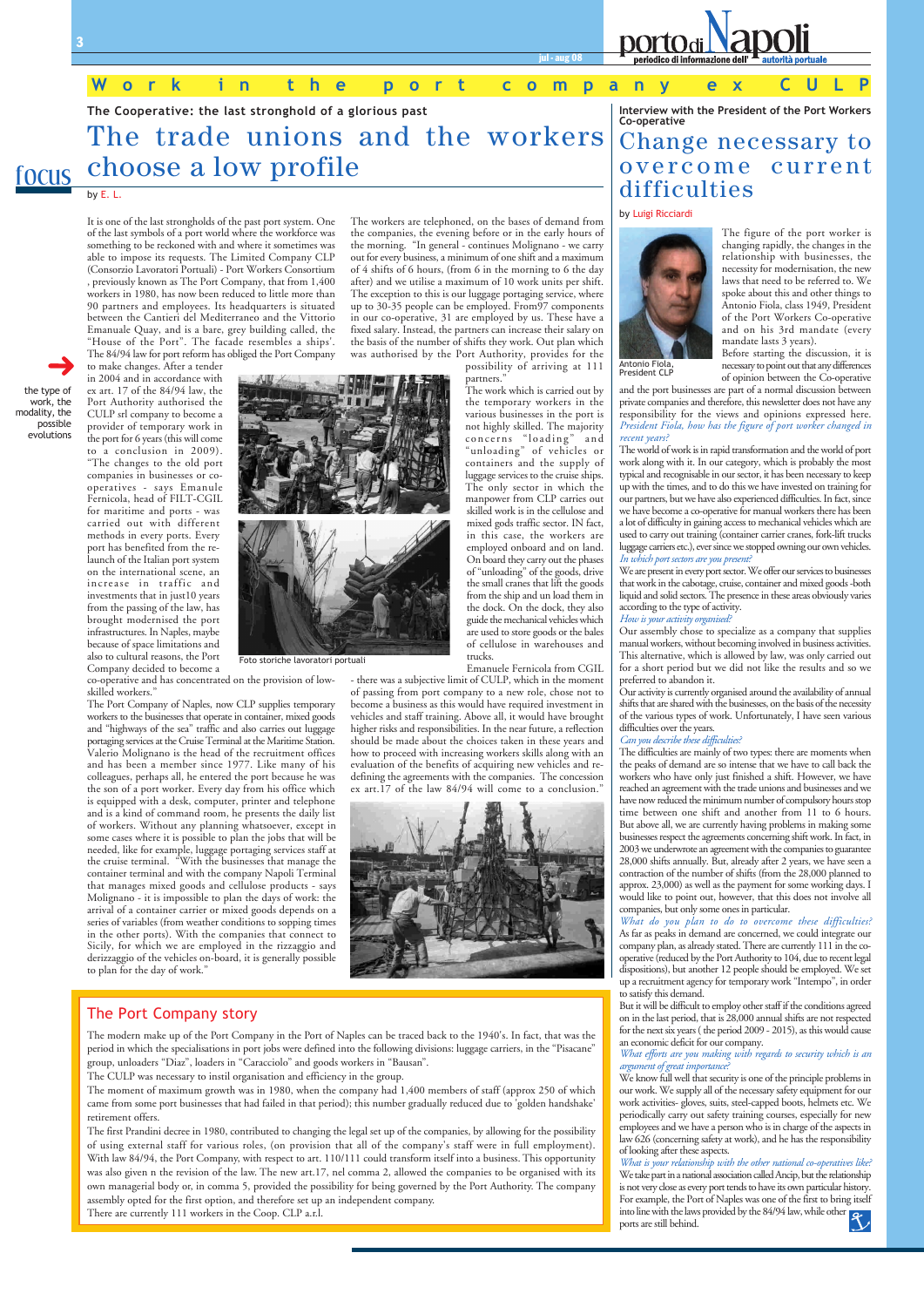

work, the modality, the possible evolutions



jul - aug 08

focus

**The Cooperative: the last stronghold of a glorious past**

# The trade unions and the workers choose a low profile

#### by E. L.

The figure of the port worker is changing rapidly, the changes in the relationship with businesses, the necessity for modernisation, the new laws that need to be referred to. We spoke about this and other things to Antonio Fiola, class 1949, President of the Port Workers Co-operative and on his 3rd mandate (every mandate lasts 3 years).

Before starting the discussion, it is necessary to point out that any differences of opinion between the Co-operative

and the port businesses are part of a normal discussion between private companies and therefore, this newsletter does not have any responsibility for the views and opinions expressed here. *President Fiola, how has the figure of port worker changed in recent years?*

Our activity is currently organised around the availability of annual shifts that are shared with the businesses, on the basis of the necessity of the various types of work. Unfortunately, I have seen various difficulties over the years.

The world of work is in rapid transformation and the world of port work along with it. In our category, which is probably the most typical and recognisable in our sector, it has been necessary to keep up with the times, and to do this we have invested on training for our partners, but we have also experienced difficulties. In fact, since we have become a co-operative for manual workers there has been a lot of difficulty in gaining access to mechanical vehicles which are used to carry out training (container carrier cranes, fork-lift trucks luggage carriers etc.), ever since we stopped owning our own vehicles. *In which port sectors are you present?*

We are present in every port sector. We offer our services to businesses that work in the cabotage, cruise, container and mixed goods -both liquid and solid sectors. The presence in these areas obviously varies according to the type of activity.

#### *How is your activity organised?*

Our assembly chose to specialize as a company that supplies manual workers, without becoming involved in business activities. This alternative, which is allowed by law, was only carried out for a short period but we did not like the results and so we preferred to abandon it.

#### *Can you describe these difficulties?*

The difficulties are mainly of two types: there are moments when the peaks of demand are so intense that we have to call back the workers who have only just finished a shift. However, we have reached an agreement with the trade unions and businesses and we have now reduced the minimum number of compulsory hours stop time between one shift and another from 11 to 6 hours. But above all, we are currently having problems in making some businesses respect the agreements concerning shift work. In fact, in 2003 we underwrote an agreement with the companies to guarantee 28,000 shifts annually. But, already after 2 years, we have seen a contraction of the number of shifts (from the 28,000 planned to approx. 23,000) as well as the payment for some working days. I would like to point out, however, that this does not involve all companies, but only some ones in particular.

co-operative and has concentrated on the provision of lowskilled workers."

> *What do you plan to do to overcome these difficulties?* As far as peaks in demand are concerned, we could integrate our company plan, as already stated. There are currently 111 in the cooperative (reduced by the Port Authority to 104, due to recent legal dispositions), but another 12 people should be employed. We set up a recruitment agency for temporary work "Intempo", in order

to satisfy this demand.

But it will be difficult to employ other staff if the conditions agreed on in the last period, that is 28,000 annual shifts are not respected for the next six years ( the period 2009 - 2015), as this would cause an economic deficit for our company.

*What efforts are you making with regards to security which is an argument of great importance?*

We know full well that security is one of the principle problems in our work. We supply all of the necessary safety equipment for our work activities- gloves, suits, steel-capped boots, helmets etc. We periodically carry out safety training courses, especially for new employees and we have a person who is in charge of the aspects in law 626 (concerning safety at work), and he has the responsibility of looking after these aspects.

*What is your relationship with the other national co-operatives like?* We take part in a national association called Ancip, but the relationship is not very close as every port tends to have its own particular history. For example, the Port of Naples was one of the first to bring itself into line with the laws provided by the 84/94 law, while other ports are still behind.

#### **Interview with the President of the Port Workers Co-operative**

# Change necessary to overcome current difficulties

#### by Luigi Ricciardi

### **Work in the port company ex CULP**

It is one of the last strongholds of the past port system. One of the last symbols of a port world where the workforce was something to be reckoned with and where it sometimes was able to impose its requests. The Limited Company CLP (Consorzio Lavoratori Portuali) - Port Workers Consortium , previously known as The Port Company, that from 1,400 workers in 1980, has now been reduced to little more than 90 partners and employees. Its headquarters is situated between the Cantieri del Mediterraneo and the Vittorio Emanuale Quay, and is a bare, grey building called, the "House of the Port". The facade resembles a ships'. The 84/94 law for port reform has obliged the Port Company

to make changes. After a tender in 2004 and in accordance with ex art. 17 of the 84/94 law, the Port Authority authorised the CULP srl company to become a provider of temporary work in the port for 6 years (this will come to a conclusion in 2009). "The changes to the old port companies in businesses or cooperatives - says Emanule Fernicola, head of FILT-CGIL for maritime and ports - was carried out with different methods in every ports. Every port has benefited from the relaunch of the Italian port system on the international scene, an increase in traffic and investments that in just10 years from the passing of the law, has brought modernised the port infrastructures. In Naples, maybe because of space limitations and also to cultural reasons, the Port Company decided to become a

The Port Company of Naples, now CLP supplies temporary workers to the businesses that operate in container, mixed goods and "highways of the sea" traffic and also carries out luggage portaging services at the Cruise Terminal at the Maritime Station. Valerio Molignano is the head of the recruitment offices and has been a member since 1977. Like many of his colleagues, perhaps all, he entered the port because he was the son of a port worker. Every day from his office which is equipped with a desk, computer, printer and telephone and is a kind of command room, he presents the daily list of workers. Without any planning whatsoever, except in some cases where it is possible to plan the jobs that will be needed, like for example, luggage portaging services staff at the cruise terminal. "With the businesses that manage the container terminal and with the company Napoli Terminal that manages mixed goods and cellulose products - says Molignano - it is impossible to plan the days of work: the arrival of a container carrier or mixed goods depends on a series of variables (from weather conditions to sopping times in the other ports). With the companies that connect to Sicily, for which we are employed in the rizzaggio and derizzaggio of the vehicles on-board, it is generally possible to plan for the day of work."

The modern make up of the Port Company in the Port of Naples can be traced back to the 1940's. In fact, that was the period in which the specialisations in port jobs were defined into the following divisions: luggage carriers, in the "Pisacane" group, unloaders "Diaz", loaders in "Caracciolo" and goods workers in "Bausan".

The CULP was necessary to instil organisation and efficiency in the group.

The moment of maximum growth was in 1980, when the company had 1,400 members of staff (approx 250 of which came from some port businesses that had failed in that period); this number gradually reduced due to 'golden handshake' retirement offers.

The first Prandini decree in 1980, contributed to changing the legal set up of the companies, by allowing for the possibility of using external staff for various roles, (on provision that all of the company's staff were in full employment). With law 84/94, the Port Company, with respect to art. 110/111 could transform itself into a business. This opportunity was also given n the revision of the law. The new art.17, nel comma 2, allowed the companies to be organised with its own managerial body or, in comma 5, provided the possibility for being governed by the Port Authority. The company assembly opted for the first option, and therefore set up an independent company.

There are currently 111 workers in the Coop. CLP a.r.l.

### The Port Company story



President CLP

The workers are telephoned, on the bases of demand from the companies, the evening before or in the early hours of the morning. "In general - continues Molignano - we carry out for every business, a minimum of one shift and a maximum of 4 shifts of 6 hours, (from 6 in the morning to 6 the day after) and we utilise a maximum of 10 work units per shift. The exception to this is our luggage portaging service, where up to 30-35 people can be employed. From97 components in our co-operative, 31 are employed by us. These have a fixed salary. Instead, the partners can increase their salary on the basis of the number of shifts they work. Out plan which was authorised by the Port Authority, provides for the

possibility of arriving at 111 partners."

The work which is carried out by the temporary workers in the various businesses in the port is not highly skilled. The majority concerns "loading" and "unloading" of vehicles or containers and the supply of luggage services to the cruise ships. The only sector in which the manpower from CLP carries out skilled work is in the cellulose and mixed gods traffic sector. IN fact, in this case, the workers are employed onboard and on land. On board they carry out the phases of "unloading" of the goods, drive the small cranes that lift the goods from the ship and un load them in the dock. On the dock, they also guide the mechanical vehicles which are used to store goods or the bales of cellulose in warehouses and trucks.

Emanuele Fernicola from CGIL

- there was a subjective limit of CULP, which in the moment of passing from port company to a new role, chose not to become a business as this would have required investment in vehicles and staff training. Above all, it would have brought higher risks and responsibilities. In the near future, a reflection should be made about the choices taken in these years and how to proceed with increasing workers skills along with an evaluation of the benefits of acquiring new vehicles and redefining the agreements with the companies. The concession ex art.17 of the law 84/94 will come to a conclusion."



Foto storiche lavoratori portuali